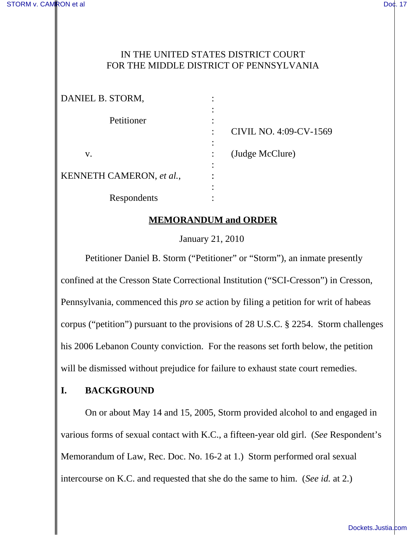### IN THE UNITED STATES DISTRICT COURT FOR THE MIDDLE DISTRICT OF PENNSYLVANIA

| DANIEL B. STORM,         | ٠                      |
|--------------------------|------------------------|
| Petitioner               |                        |
|                          | CIVIL NO. 4:09-CV-1569 |
| V.                       | (Judge McClure)        |
| KENNETH CAMERON, et al., |                        |
| Respondents              |                        |

## **MEMORANDUM and ORDER**

January 21, 2010

Petitioner Daniel B. Storm ("Petitioner" or "Storm"), an inmate presently confined at the Cresson State Correctional Institution ("SCI-Cresson") in Cresson, Pennsylvania, commenced this *pro se* action by filing a petition for writ of habeas corpus ("petition") pursuant to the provisions of 28 U.S.C. § 2254. Storm challenges his 2006 Lebanon County conviction. For the reasons set forth below, the petition will be dismissed without prejudice for failure to exhaust state court remedies.

### **I. BACKGROUND**

On or about May 14 and 15, 2005, Storm provided alcohol to and engaged in various forms of sexual contact with K.C., a fifteen-year old girl. (*See* Respondent's Memorandum of Law, Rec. Doc. No. 16-2 at 1.) Storm performed oral sexual intercourse on K.C. and requested that she do the same to him. (*See id.* at 2.)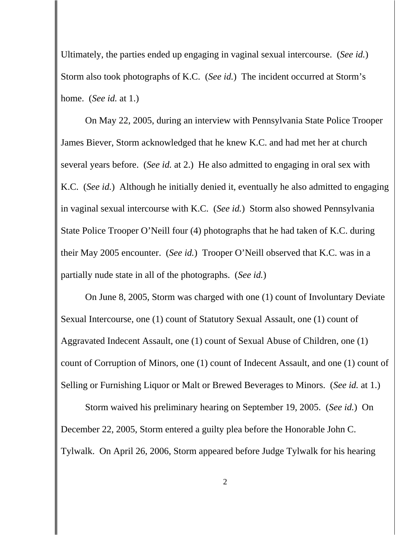Ultimately, the parties ended up engaging in vaginal sexual intercourse. (*See id.*) Storm also took photographs of K.C. (*See id.*) The incident occurred at Storm's home. (*See id.* at 1.)

On May 22, 2005, during an interview with Pennsylvania State Police Trooper James Biever, Storm acknowledged that he knew K.C. and had met her at church several years before. (*See id.* at 2.) He also admitted to engaging in oral sex with K.C. (*See id.*) Although he initially denied it, eventually he also admitted to engaging in vaginal sexual intercourse with K.C. (*See id.*) Storm also showed Pennsylvania State Police Trooper O'Neill four (4) photographs that he had taken of K.C. during their May 2005 encounter. (*See id.*) Trooper O'Neill observed that K.C. was in a partially nude state in all of the photographs. (*See id.*)

On June 8, 2005, Storm was charged with one (1) count of Involuntary Deviate Sexual Intercourse, one (1) count of Statutory Sexual Assault, one (1) count of Aggravated Indecent Assault, one (1) count of Sexual Abuse of Children, one (1) count of Corruption of Minors, one (1) count of Indecent Assault, and one (1) count of Selling or Furnishing Liquor or Malt or Brewed Beverages to Minors. (*See id.* at 1.)

Storm waived his preliminary hearing on September 19, 2005. (*See id.*) On December 22, 2005, Storm entered a guilty plea before the Honorable John C. Tylwalk. On April 26, 2006, Storm appeared before Judge Tylwalk for his hearing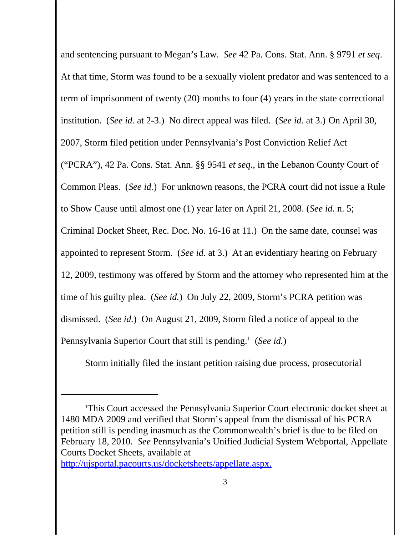and sentencing pursuant to Megan's Law. *See* 42 Pa. Cons. Stat. Ann. § 9791 *et seq*. At that time, Storm was found to be a sexually violent predator and was sentenced to a term of imprisonment of twenty (20) months to four (4) years in the state correctional institution. (*See id.* at 2-3.) No direct appeal was filed. (*See id.* at 3.) On April 30, 2007, Storm filed petition under Pennsylvania's Post Conviction Relief Act ("PCRA"), 42 Pa. Cons. Stat. Ann. §§ 9541 *et seq.*, in the Lebanon County Court of Common Pleas. (*See id.*) For unknown reasons, the PCRA court did not issue a Rule to Show Cause until almost one (1) year later on April 21, 2008. (*See id.* n. 5; Criminal Docket Sheet, Rec. Doc. No. 16-16 at 11.) On the same date, counsel was appointed to represent Storm. (*See id.* at 3.) At an evidentiary hearing on February 12, 2009, testimony was offered by Storm and the attorney who represented him at the time of his guilty plea. (*See id.*) On July 22, 2009, Storm's PCRA petition was dismissed. (*See id.*) On August 21, 2009, Storm filed a notice of appeal to the Pennsylvania Superior Court that still is pending.<sup>1</sup> (See id.)

Storm initially filed the instant petition raising due process, prosecutorial

http://ujsportal.pacourts.us/docketsheets/appellate.aspx.

<sup>1</sup> This Court accessed the Pennsylvania Superior Court electronic docket sheet at 1480 MDA 2009 and verified that Storm's appeal from the dismissal of his PCRA petition still is pending inasmuch as the Commonwealth's brief is due to be filed on February 18, 2010. *See* Pennsylvania's Unified Judicial System Webportal, Appellate Courts Docket Sheets, available at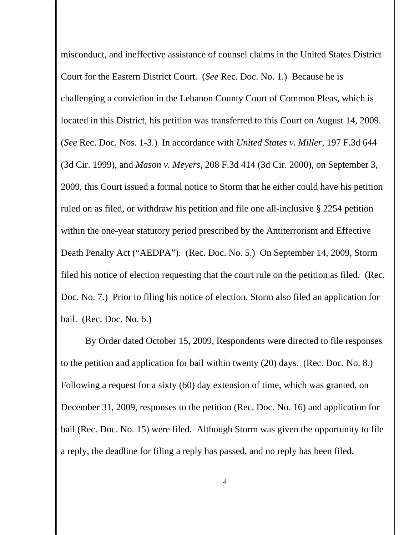misconduct, and ineffective assistance of counsel claims in the United States District Court for the Eastern District Court. (*See* Rec. Doc. No. 1.) Because he is challenging a conviction in the Lebanon County Court of Common Pleas, which is located in this District, his petition was transferred to this Court on August 14, 2009. (*See* Rec. Doc. Nos. 1-3.) In accordance with *United States v. Miller*, 197 F.3d 644 (3d Cir. 1999), and *Mason v. Meyers*, 208 F.3d 414 (3d Cir. 2000), on September 3, 2009, this Court issued a formal notice to Storm that he either could have his petition ruled on as filed, or withdraw his petition and file one all-inclusive § 2254 petition within the one-year statutory period prescribed by the Antiterrorism and Effective Death Penalty Act ("AEDPA"). (Rec. Doc. No. 5.) On September 14, 2009, Storm filed his notice of election requesting that the court rule on the petition as filed. (Rec. Doc. No. 7.) Prior to filing his notice of election, Storm also filed an application for bail. (Rec. Doc. No. 6.)

By Order dated October 15, 2009, Respondents were directed to file responses to the petition and application for bail within twenty (20) days. (Rec. Doc. No. 8.) Following a request for a sixty (60) day extension of time, which was granted, on December 31, 2009, responses to the petition (Rec. Doc. No. 16) and application for bail (Rec. Doc. No. 15) were filed. Although Storm was given the opportunity to file a reply, the deadline for filing a reply has passed, and no reply has been filed.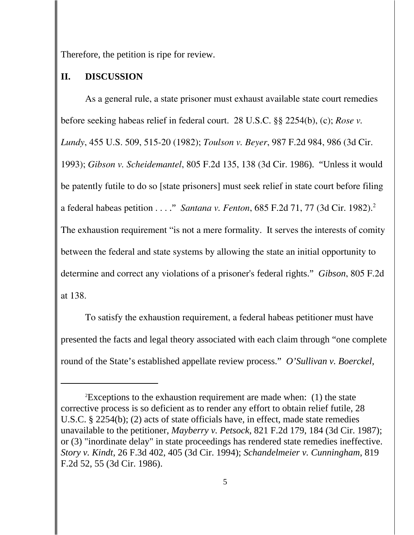Therefore, the petition is ripe for review.

#### **II. DISCUSSION**

 As a general rule, a state prisoner must exhaust available state court remedies before seeking habeas relief in federal court. 28 U.S.C. §§ 2254(b), (c); *Rose v. Lundy*, 455 U.S. 509, 515-20 (1982); *Toulson v. Beyer*, 987 F.2d 984, 986 (3d Cir. 1993); *Gibson v. Scheidemantel*, 805 F.2d 135, 138 (3d Cir. 1986). "Unless it would be patently futile to do so [state prisoners] must seek relief in state court before filing a federal habeas petition . . . ." *Santana v. Fenton*, 685 F.2d 71, 77 (3d Cir. 1982).2 The exhaustion requirement "is not a mere formality. It serves the interests of comity between the federal and state systems by allowing the state an initial opportunity to determine and correct any violations of a prisoner's federal rights." *Gibson*, 805 F.2d at 138.

To satisfy the exhaustion requirement, a federal habeas petitioner must have presented the facts and legal theory associated with each claim through "one complete round of the State's established appellate review process." *O'Sullivan v. Boerckel*,

<sup>2</sup> Exceptions to the exhaustion requirement are made when: (1) the state corrective process is so deficient as to render any effort to obtain relief futile, 28 U.S.C. § 2254(b); (2) acts of state officials have, in effect, made state remedies unavailable to the petitioner, *Mayberry v. Petsock*, 821 F.2d 179, 184 (3d Cir. 1987); or (3) "inordinate delay" in state proceedings has rendered state remedies ineffective. *Story v. Kindt*, 26 F.3d 402, 405 (3d Cir. 1994); *Schandelmeier v. Cunningham*, 819 F.2d 52, 55 (3d Cir. 1986).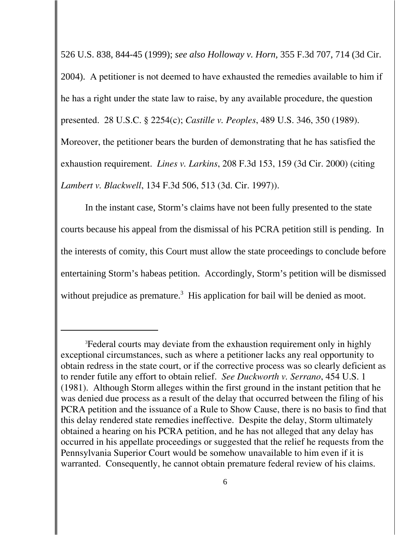526 U.S. 838, 844-45 (1999); *see also Holloway v. Horn,* 355 F.3d 707, 714 (3d Cir. 2004). A petitioner is not deemed to have exhausted the remedies available to him if he has a right under the state law to raise, by any available procedure, the question presented. 28 U.S.C. § 2254(c); *Castille v. Peoples*, 489 U.S. 346, 350 (1989). Moreover, the petitioner bears the burden of demonstrating that he has satisfied the exhaustion requirement. *Lines v. Larkins*, 208 F.3d 153, 159 (3d Cir. 2000) (citing *Lambert v. Blackwell*, 134 F.3d 506, 513 (3d. Cir. 1997)).

In the instant case, Storm's claims have not been fully presented to the state courts because his appeal from the dismissal of his PCRA petition still is pending. In the interests of comity, this Court must allow the state proceedings to conclude before entertaining Storm's habeas petition. Accordingly, Storm's petition will be dismissed without prejudice as premature. $3$  His application for bail will be denied as moot.

<sup>&</sup>lt;sup>3</sup> Federal courts may deviate from the exhaustion requirement only in highly exceptional circumstances, such as where a petitioner lacks any real opportunity to obtain redress in the state court, or if the corrective process was so clearly deficient as to render futile any effort to obtain relief. *See Duckworth v. Serrano*, 454 U.S. 1 (1981). Although Storm alleges within the first ground in the instant petition that he was denied due process as a result of the delay that occurred between the filing of his PCRA petition and the issuance of a Rule to Show Cause, there is no basis to find that this delay rendered state remedies ineffective. Despite the delay, Storm ultimately obtained a hearing on his PCRA petition, and he has not alleged that any delay has occurred in his appellate proceedings or suggested that the relief he requests from the Pennsylvania Superior Court would be somehow unavailable to him even if it is warranted. Consequently, he cannot obtain premature federal review of his claims.